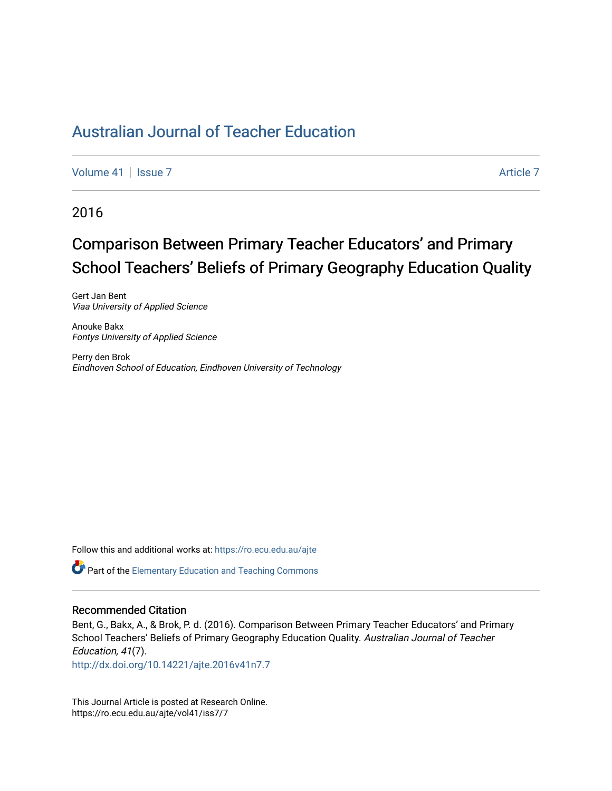[Volume 41](https://ro.ecu.edu.au/ajte/vol41) | [Issue 7](https://ro.ecu.edu.au/ajte/vol41/iss7) Article 7

2016

# Comparison Between Primary Teacher Educators' and Primary School Teachers' Beliefs of Primary Geography Education Quality

Gert Jan Bent Viaa University of Applied Science

Anouke Bakx Fontys University of Applied Science

Perry den Brok Eindhoven School of Education, Eindhoven University of Technology

Follow this and additional works at: [https://ro.ecu.edu.au/ajte](https://ro.ecu.edu.au/ajte?utm_source=ro.ecu.edu.au%2Fajte%2Fvol41%2Fiss7%2F7&utm_medium=PDF&utm_campaign=PDFCoverPages) 

**Part of the Elementary Education and Teaching Commons** 

#### Recommended Citation

Bent, G., Bakx, A., & Brok, P. d. (2016). Comparison Between Primary Teacher Educators' and Primary School Teachers' Beliefs of Primary Geography Education Quality. Australian Journal of Teacher Education, 41(7).

<http://dx.doi.org/10.14221/ajte.2016v41n7.7>

This Journal Article is posted at Research Online. https://ro.ecu.edu.au/ajte/vol41/iss7/7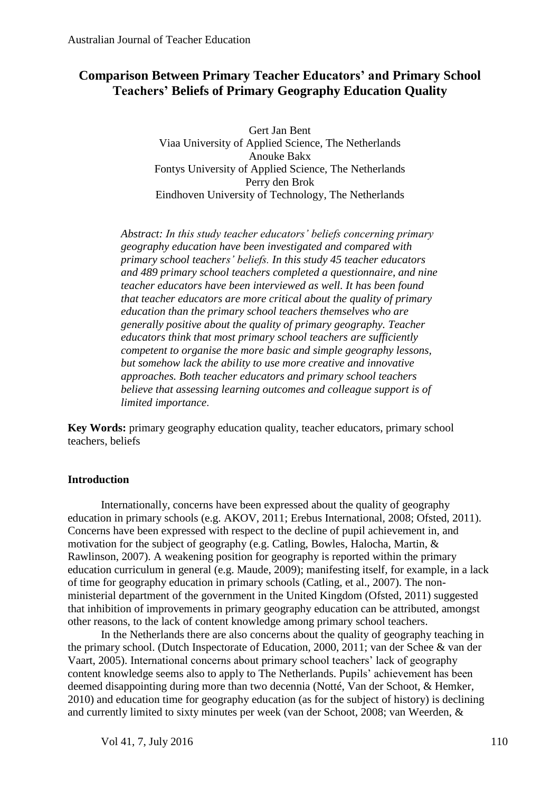# **Comparison Between Primary Teacher Educators' and Primary School Teachers' Beliefs of Primary Geography Education Quality**

Gert Jan Bent Viaa University of Applied Science, The Netherlands Anouke Bakx Fontys University of Applied Science, The Netherlands Perry den Brok Eindhoven University of Technology, The Netherlands

*Abstract: In this study teacher educators' beliefs concerning primary geography education have been investigated and compared with primary school teachers' beliefs. In this study 45 teacher educators and 489 primary school teachers completed a questionnaire, and nine teacher educators have been interviewed as well. It has been found that teacher educators are more critical about the quality of primary education than the primary school teachers themselves who are generally positive about the quality of primary geography. Teacher educators think that most primary school teachers are sufficiently competent to organise the more basic and simple geography lessons, but somehow lack the ability to use more creative and innovative approaches. Both teacher educators and primary school teachers believe that assessing learning outcomes and colleague support is of limited importance*.

**Key Words:** primary geography education quality, teacher educators, primary school teachers, beliefs

#### **Introduction**

Internationally, concerns have been expressed about the quality of geography education in primary schools (e.g. AKOV, 2011; Erebus International, 2008; Ofsted, 2011). Concerns have been expressed with respect to the decline of pupil achievement in, and motivation for the subject of geography (e.g. Catling, Bowles, Halocha, Martin, & Rawlinson, 2007). A weakening position for geography is reported within the primary education curriculum in general (e.g. Maude, 2009); manifesting itself, for example, in a lack of time for geography education in primary schools (Catling, et al., 2007). The nonministerial department of the government in the United Kingdom (Ofsted, 2011) suggested that inhibition of improvements in primary geography education can be attributed, amongst other reasons, to the lack of content knowledge among primary school teachers.

In the Netherlands there are also concerns about the quality of geography teaching in the primary school. (Dutch Inspectorate of Education, 2000, 2011; van der Schee & van der Vaart, 2005). International concerns about primary school teachers' lack of geography content knowledge seems also to apply to The Netherlands. Pupils' achievement has been deemed disappointing during more than two decennia (Notté, Van der Schoot, & Hemker, 2010) and education time for geography education (as for the subject of history) is declining and currently limited to sixty minutes per week (van der Schoot, 2008; van Weerden, &

Vol 41, 7, July 2016 110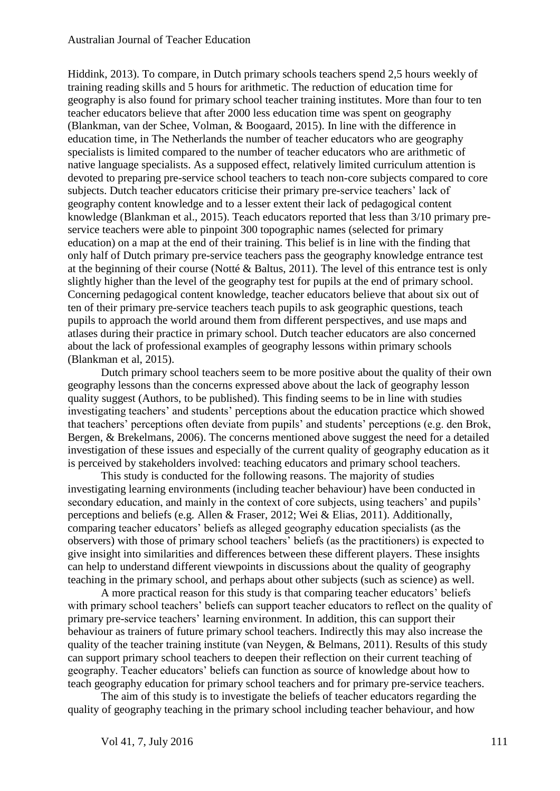Hiddink, 2013). To compare, in Dutch primary schools teachers spend 2,5 hours weekly of training reading skills and 5 hours for arithmetic. The reduction of education time for geography is also found for primary school teacher training institutes. More than four to ten teacher educators believe that after 2000 less education time was spent on geography (Blankman, van der Schee, Volman, & Boogaard, 2015). In line with the difference in education time, in The Netherlands the number of teacher educators who are geography specialists is limited compared to the number of teacher educators who are arithmetic of native language specialists. As a supposed effect, relatively limited curriculum attention is devoted to preparing pre-service school teachers to teach non-core subjects compared to core subjects. Dutch teacher educators criticise their primary pre-service teachers' lack of geography content knowledge and to a lesser extent their lack of pedagogical content knowledge (Blankman et al., 2015). Teach educators reported that less than 3/10 primary preservice teachers were able to pinpoint 300 topographic names (selected for primary education) on a map at the end of their training. This belief is in line with the finding that only half of Dutch primary pre-service teachers pass the geography knowledge entrance test at the beginning of their course (Notté & Baltus, 2011). The level of this entrance test is only slightly higher than the level of the geography test for pupils at the end of primary school. Concerning pedagogical content knowledge, teacher educators believe that about six out of ten of their primary pre-service teachers teach pupils to ask geographic questions, teach pupils to approach the world around them from different perspectives, and use maps and atlases during their practice in primary school. Dutch teacher educators are also concerned about the lack of professional examples of geography lessons within primary schools (Blankman et al, 2015).

Dutch primary school teachers seem to be more positive about the quality of their own geography lessons than the concerns expressed above about the lack of geography lesson quality suggest (Authors, to be published). This finding seems to be in line with studies investigating teachers' and students' perceptions about the education practice which showed that teachers' perceptions often deviate from pupils' and students' perceptions (e.g. den Brok, Bergen, & Brekelmans, 2006). The concerns mentioned above suggest the need for a detailed investigation of these issues and especially of the current quality of geography education as it is perceived by stakeholders involved: teaching educators and primary school teachers.

This study is conducted for the following reasons. The majority of studies investigating learning environments (including teacher behaviour) have been conducted in secondary education, and mainly in the context of core subjects, using teachers' and pupils' perceptions and beliefs (e.g. Allen & Fraser, 2012; Wei & Elias, 2011). Additionally, comparing teacher educators' beliefs as alleged geography education specialists (as the observers) with those of primary school teachers' beliefs (as the practitioners) is expected to give insight into similarities and differences between these different players. These insights can help to understand different viewpoints in discussions about the quality of geography teaching in the primary school, and perhaps about other subjects (such as science) as well.

A more practical reason for this study is that comparing teacher educators' beliefs with primary school teachers' beliefs can support teacher educators to reflect on the quality of primary pre-service teachers' learning environment. In addition, this can support their behaviour as trainers of future primary school teachers. Indirectly this may also increase the quality of the teacher training institute (van Neygen, & Belmans, 2011). Results of this study can support primary school teachers to deepen their reflection on their current teaching of geography. Teacher educators' beliefs can function as source of knowledge about how to teach geography education for primary school teachers and for primary pre-service teachers.

The aim of this study is to investigate the beliefs of teacher educators regarding the quality of geography teaching in the primary school including teacher behaviour, and how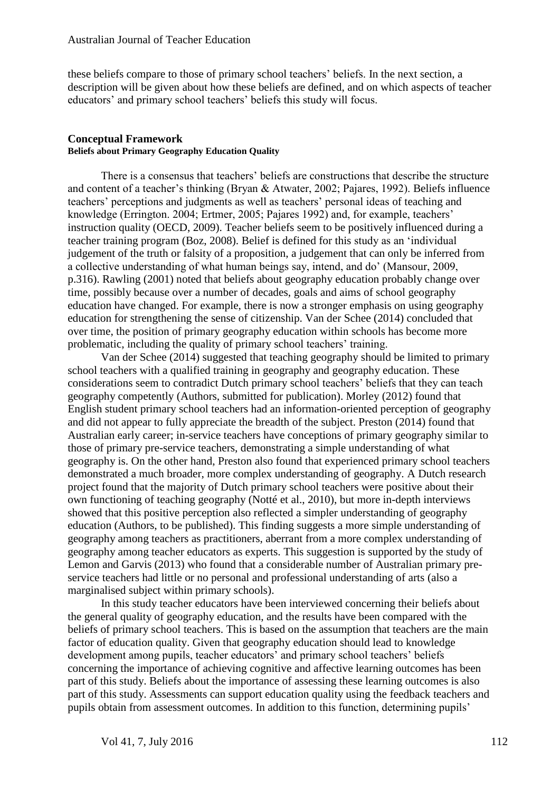these beliefs compare to those of primary school teachers' beliefs. In the next section, a description will be given about how these beliefs are defined, and on which aspects of teacher educators' and primary school teachers' beliefs this study will focus.

#### **Conceptual Framework Beliefs about Primary Geography Education Quality**

There is a consensus that teachers' beliefs are constructions that describe the structure and content of a teacher's thinking (Bryan & Atwater, 2002; Pajares, 1992). Beliefs influence teachers' perceptions and judgments as well as teachers' personal ideas of teaching and knowledge (Errington. 2004; Ertmer, 2005; Pajares 1992) and, for example, teachers' instruction quality (OECD, 2009). Teacher beliefs seem to be positively influenced during a teacher training program (Boz, 2008). Belief is defined for this study as an 'individual judgement of the truth or falsity of a proposition, a judgement that can only be inferred from a collective understanding of what human beings say, intend, and do' (Mansour, 2009, p.316). Rawling (2001) noted that beliefs about geography education probably change over time, possibly because over a number of decades, goals and aims of school geography education have changed. For example, there is now a stronger emphasis on using geography education for strengthening the sense of citizenship. Van der Schee (2014) concluded that over time, the position of primary geography education within schools has become more problematic, including the quality of primary school teachers' training.

Van der Schee (2014) suggested that teaching geography should be limited to primary school teachers with a qualified training in geography and geography education. These considerations seem to contradict Dutch primary school teachers' beliefs that they can teach geography competently (Authors, submitted for publication). Morley (2012) found that English student primary school teachers had an information-oriented perception of geography and did not appear to fully appreciate the breadth of the subject. Preston (2014) found that Australian early career; in-service teachers have conceptions of primary geography similar to those of primary pre-service teachers, demonstrating a simple understanding of what geography is. On the other hand, Preston also found that experienced primary school teachers demonstrated a much broader, more complex understanding of geography. A Dutch research project found that the majority of Dutch primary school teachers were positive about their own functioning of teaching geography (Notté et al., 2010), but more in-depth interviews showed that this positive perception also reflected a simpler understanding of geography education (Authors, to be published). This finding suggests a more simple understanding of geography among teachers as practitioners, aberrant from a more complex understanding of geography among teacher educators as experts. This suggestion is supported by the study of Lemon and Garvis (2013) who found that a considerable number of Australian primary preservice teachers had little or no personal and professional understanding of arts (also a marginalised subject within primary schools).

In this study teacher educators have been interviewed concerning their beliefs about the general quality of geography education, and the results have been compared with the beliefs of primary school teachers. This is based on the assumption that teachers are the main factor of education quality. Given that geography education should lead to knowledge development among pupils, teacher educators' and primary school teachers' beliefs concerning the importance of achieving cognitive and affective learning outcomes has been part of this study. Beliefs about the importance of assessing these learning outcomes is also part of this study. Assessments can support education quality using the feedback teachers and pupils obtain from assessment outcomes. In addition to this function, determining pupils'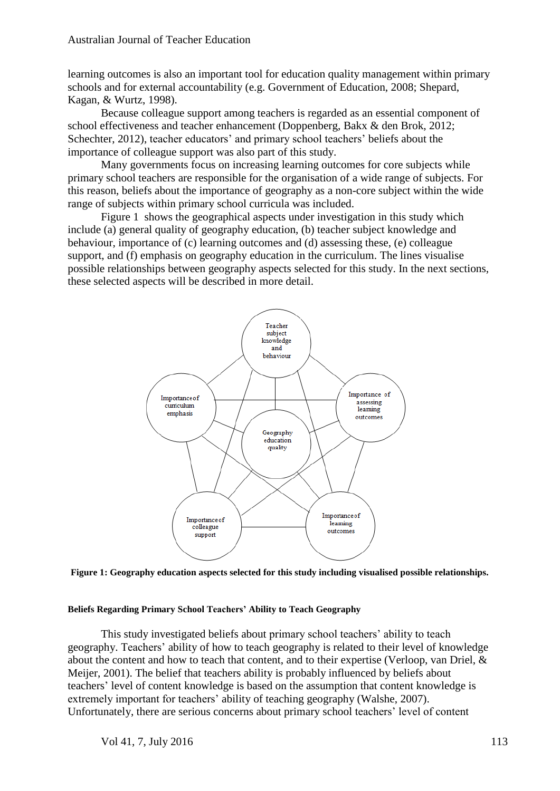learning outcomes is also an important tool for education quality management within primary schools and for external accountability (e.g. Government of Education, 2008; Shepard, Kagan, & Wurtz, 1998).

Because colleague support among teachers is regarded as an essential component of school effectiveness and teacher enhancement (Doppenberg, Bakx & den Brok, 2012; Schechter, 2012), teacher educators' and primary school teachers' beliefs about the importance of colleague support was also part of this study.

Many governments focus on increasing learning outcomes for core subjects while primary school teachers are responsible for the organisation of a wide range of subjects. For this reason, beliefs about the importance of geography as a non-core subject within the wide range of subjects within primary school curricula was included.

Figure 1 shows the geographical aspects under investigation in this study which include (a) general quality of geography education, (b) teacher subject knowledge and behaviour, importance of (c) learning outcomes and (d) assessing these, (e) colleague support, and (f) emphasis on geography education in the curriculum. The lines visualise possible relationships between geography aspects selected for this study. In the next sections, these selected aspects will be described in more detail.



**Figure 1: Geography education aspects selected for this study including visualised possible relationships.**

#### **Beliefs Regarding Primary School Teachers' Ability to Teach Geography**

This study investigated beliefs about primary school teachers' ability to teach geography. Teachers' ability of how to teach geography is related to their level of knowledge about the content and how to teach that content, and to their expertise (Verloop, van Driel, & Meijer, 2001). The belief that teachers ability is probably influenced by beliefs about teachers' level of content knowledge is based on the assumption that content knowledge is extremely important for teachers' ability of teaching geography (Walshe, 2007). Unfortunately, there are serious concerns about primary school teachers' level of content

Vol 41, 7, July 2016 113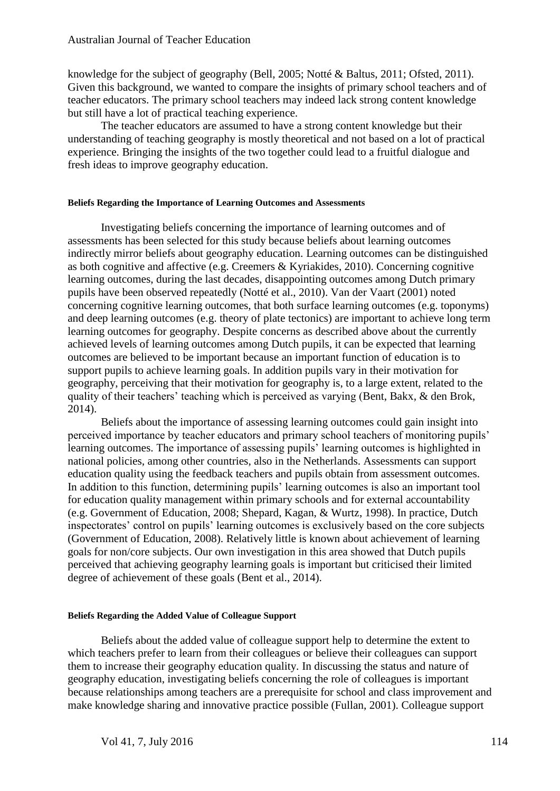knowledge for the subject of geography (Bell, 2005; Notté & Baltus, 2011; Ofsted, 2011). Given this background, we wanted to compare the insights of primary school teachers and of teacher educators. The primary school teachers may indeed lack strong content knowledge but still have a lot of practical teaching experience.

The teacher educators are assumed to have a strong content knowledge but their understanding of teaching geography is mostly theoretical and not based on a lot of practical experience. Bringing the insights of the two together could lead to a fruitful dialogue and fresh ideas to improve geography education.

#### **Beliefs Regarding the Importance of Learning Outcomes and Assessments**

Investigating beliefs concerning the importance of learning outcomes and of assessments has been selected for this study because beliefs about learning outcomes indirectly mirror beliefs about geography education. Learning outcomes can be distinguished as both cognitive and affective (e.g. Creemers & Kyriakides, 2010). Concerning cognitive learning outcomes, during the last decades, disappointing outcomes among Dutch primary pupils have been observed repeatedly (Notté et al., 2010). Van der Vaart (2001) noted concerning cognitive learning outcomes, that both surface learning outcomes (e.g. toponyms) and deep learning outcomes (e.g. theory of plate tectonics) are important to achieve long term learning outcomes for geography. Despite concerns as described above about the currently achieved levels of learning outcomes among Dutch pupils, it can be expected that learning outcomes are believed to be important because an important function of education is to support pupils to achieve learning goals. In addition pupils vary in their motivation for geography, perceiving that their motivation for geography is, to a large extent, related to the quality of their teachers' teaching which is perceived as varying (Bent, Bakx, & den Brok, 2014).

Beliefs about the importance of assessing learning outcomes could gain insight into perceived importance by teacher educators and primary school teachers of monitoring pupils' learning outcomes. The importance of assessing pupils' learning outcomes is highlighted in national policies, among other countries, also in the Netherlands. Assessments can support education quality using the feedback teachers and pupils obtain from assessment outcomes. In addition to this function, determining pupils' learning outcomes is also an important tool for education quality management within primary schools and for external accountability (e.g. Government of Education, 2008; Shepard, Kagan, & Wurtz, 1998). In practice, Dutch inspectorates' control on pupils' learning outcomes is exclusively based on the core subjects (Government of Education, 2008). Relatively little is known about achievement of learning goals for non/core subjects. Our own investigation in this area showed that Dutch pupils perceived that achieving geography learning goals is important but criticised their limited degree of achievement of these goals (Bent et al., 2014).

## **Beliefs Regarding the Added Value of Colleague Support**

Beliefs about the added value of colleague support help to determine the extent to which teachers prefer to learn from their colleagues or believe their colleagues can support them to increase their geography education quality. In discussing the status and nature of geography education, investigating beliefs concerning the role of colleagues is important because relationships among teachers are a prerequisite for school and class improvement and make knowledge sharing and innovative practice possible (Fullan, 2001). Colleague support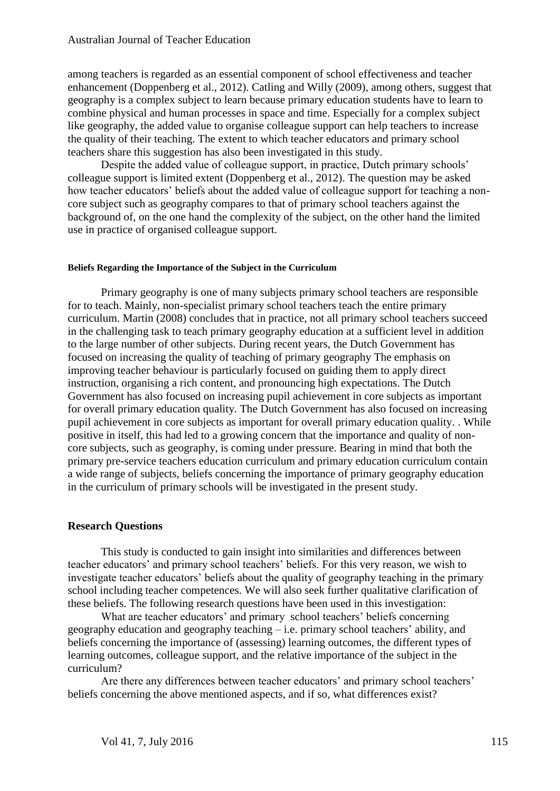among teachers is regarded as an essential component of school effectiveness and teacher enhancement (Doppenberg et al., 2012). Catling and Willy (2009), among others, suggest that geography is a complex subject to learn because primary education students have to learn to combine physical and human processes in space and time. Especially for a complex subject like geography, the added value to organise colleague support can help teachers to increase the quality of their teaching. The extent to which teacher educators and primary school teachers share this suggestion has also been investigated in this study.

Despite the added value of colleague support, in practice, Dutch primary schools' colleague support is limited extent (Doppenberg et al., 2012). The question may be asked how teacher educators' beliefs about the added value of colleague support for teaching a noncore subject such as geography compares to that of primary school teachers against the background of, on the one hand the complexity of the subject, on the other hand the limited use in practice of organised colleague support.

#### **Beliefs Regarding the Importance of the Subject in the Curriculum**

Primary geography is one of many subjects primary school teachers are responsible for to teach. Mainly, non-specialist primary school teachers teach the entire primary curriculum. Martin (2008) concludes that in practice, not all primary school teachers succeed in the challenging task to teach primary geography education at a sufficient level in addition to the large number of other subjects. During recent years, the Dutch Government has focused on increasing the quality of teaching of primary geography The emphasis on improving teacher behaviour is particularly focused on guiding them to apply direct instruction, organising a rich content, and pronouncing high expectations. The Dutch Government has also focused on increasing pupil achievement in core subjects as important for overall primary education quality. The Dutch Government has also focused on increasing pupil achievement in core subjects as important for overall primary education quality. . While positive in itself, this had led to a growing concern that the importance and quality of noncore subjects, such as geography, is coming under pressure. Bearing in mind that both the primary pre-service teachers education curriculum and primary education curriculum contain a wide range of subjects, beliefs concerning the importance of primary geography education in the curriculum of primary schools will be investigated in the present study.

#### **Research Questions**

This study is conducted to gain insight into similarities and differences between teacher educators' and primary school teachers' beliefs. For this very reason, we wish to investigate teacher educators' beliefs about the quality of geography teaching in the primary school including teacher competences. We will also seek further qualitative clarification of these beliefs. The following research questions have been used in this investigation:

What are teacher educators' and primary school teachers' beliefs concerning geography education and geography teaching – i.e. primary school teachers' ability, and beliefs concerning the importance of (assessing) learning outcomes, the different types of learning outcomes, colleague support, and the relative importance of the subject in the curriculum?

Are there any differences between teacher educators' and primary school teachers' beliefs concerning the above mentioned aspects, and if so, what differences exist?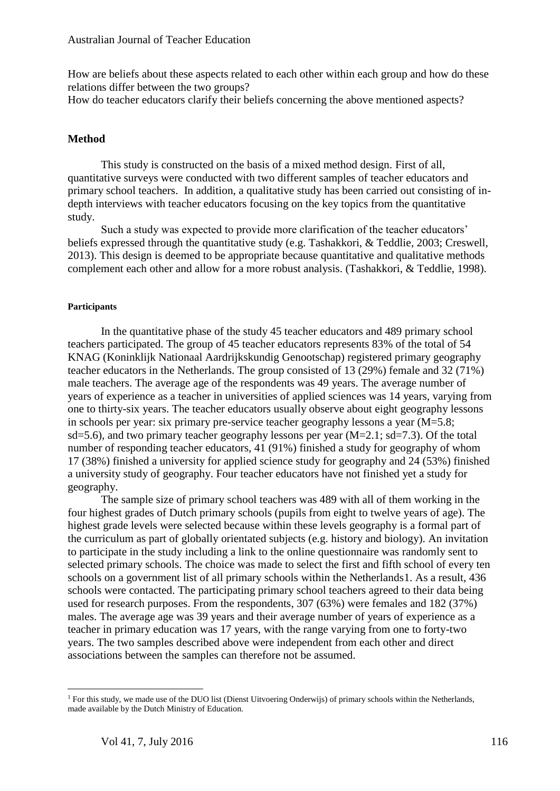How are beliefs about these aspects related to each other within each group and how do these relations differ between the two groups?

How do teacher educators clarify their beliefs concerning the above mentioned aspects?

# **Method**

This study is constructed on the basis of a mixed method design. First of all, quantitative surveys were conducted with two different samples of teacher educators and primary school teachers. In addition, a qualitative study has been carried out consisting of indepth interviews with teacher educators focusing on the key topics from the quantitative study.

Such a study was expected to provide more clarification of the teacher educators' beliefs expressed through the quantitative study (e.g. Tashakkori, & Teddlie, 2003; Creswell, 2013). This design is deemed to be appropriate because quantitative and qualitative methods complement each other and allow for a more robust analysis. (Tashakkori, & Teddlie, 1998).

# **Participants**

In the quantitative phase of the study 45 teacher educators and 489 primary school teachers participated. The group of 45 teacher educators represents 83% of the total of 54 KNAG (Koninklijk Nationaal Aardrijkskundig Genootschap) registered primary geography teacher educators in the Netherlands. The group consisted of 13 (29%) female and 32 (71%) male teachers. The average age of the respondents was 49 years. The average number of years of experience as a teacher in universities of applied sciences was 14 years, varying from one to thirty-six years. The teacher educators usually observe about eight geography lessons in schools per year: six primary pre-service teacher geography lessons a year (M=5.8; sd=5.6), and two primary teacher geography lessons per year  $(M=2.1; sd=7.3)$ . Of the total number of responding teacher educators, 41 (91%) finished a study for geography of whom 17 (38%) finished a university for applied science study for geography and 24 (53%) finished a university study of geography. Four teacher educators have not finished yet a study for geography.

The sample size of primary school teachers was 489 with all of them working in the four highest grades of Dutch primary schools (pupils from eight to twelve years of age). The highest grade levels were selected because within these levels geography is a formal part of the curriculum as part of globally orientated subjects (e.g. history and biology). An invitation to participate in the study including a link to the online questionnaire was randomly sent to selected primary schools. The choice was made to select the first and fifth school of every ten schools on a government list of all primary schools within the Netherlands1. As a result, 436 schools were contacted. The participating primary school teachers agreed to their data being used for research purposes. From the respondents, 307 (63%) were females and 182 (37%) males. The average age was 39 years and their average number of years of experience as a teacher in primary education was 17 years, with the range varying from one to forty-two years. The two samples described above were independent from each other and direct associations between the samples can therefore not be assumed.

 $\overline{a}$ 

<sup>&</sup>lt;sup>1</sup> For this study, we made use of the DUO list (Dienst Uitvoering Onderwijs) of primary schools within the Netherlands, made available by the Dutch Ministry of Education.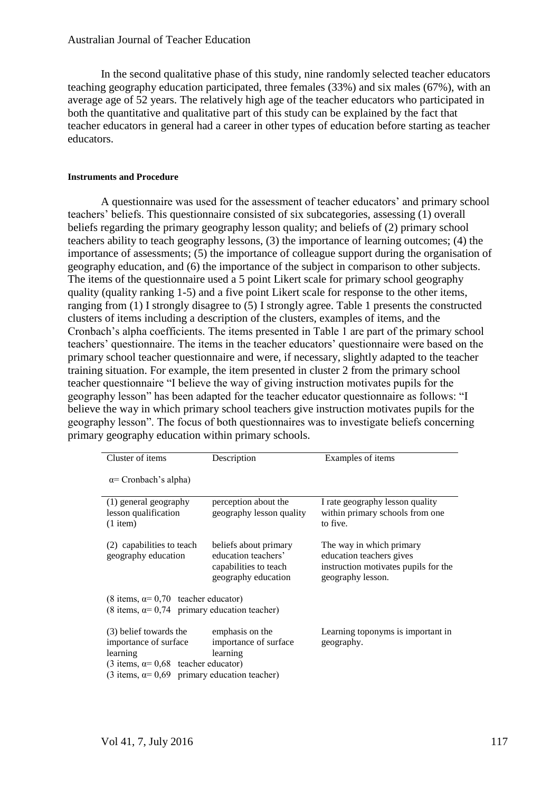In the second qualitative phase of this study, nine randomly selected teacher educators teaching geography education participated, three females (33%) and six males (67%), with an average age of 52 years. The relatively high age of the teacher educators who participated in both the quantitative and qualitative part of this study can be explained by the fact that teacher educators in general had a career in other types of education before starting as teacher educators.

#### **Instruments and Procedure**

A questionnaire was used for the assessment of teacher educators' and primary school teachers' beliefs. This questionnaire consisted of six subcategories, assessing (1) overall beliefs regarding the primary geography lesson quality; and beliefs of (2) primary school teachers ability to teach geography lessons, (3) the importance of learning outcomes; (4) the importance of assessments; (5) the importance of colleague support during the organisation of geography education, and (6) the importance of the subject in comparison to other subjects. The items of the questionnaire used a 5 point Likert scale for primary school geography quality (quality ranking 1-5) and a five point Likert scale for response to the other items, ranging from (1) I strongly disagree to (5) I strongly agree. Table 1 presents the constructed clusters of items including a description of the clusters, examples of items, and the Cronbach's alpha coefficients. The items presented in Table 1 are part of the primary school teachers' questionnaire. The items in the teacher educators' questionnaire were based on the primary school teacher questionnaire and were, if necessary, slightly adapted to the teacher training situation. For example, the item presented in cluster 2 from the primary school teacher questionnaire "I believe the way of giving instruction motivates pupils for the geography lesson" has been adapted for the teacher educator questionnaire as follows: "I believe the way in which primary school teachers give instruction motivates pupils for the geography lesson". The focus of both questionnaires was to investigate beliefs concerning primary geography education within primary schools.

| Cluster of items                                                                                                                                                                   | Description                                                                                  | Examples of items                                                                                                 |  |  |  |  |
|------------------------------------------------------------------------------------------------------------------------------------------------------------------------------------|----------------------------------------------------------------------------------------------|-------------------------------------------------------------------------------------------------------------------|--|--|--|--|
| $\alpha$ = Cronbach's alpha)                                                                                                                                                       |                                                                                              |                                                                                                                   |  |  |  |  |
| (1) general geography<br>lesson qualification<br>$(1$ item)                                                                                                                        | perception about the<br>geography lesson quality                                             | I rate geography lesson quality<br>within primary schools from one<br>to five.                                    |  |  |  |  |
| (2) capabilities to teach<br>geography education                                                                                                                                   | beliefs about primary<br>education teachers'<br>capabilities to teach<br>geography education | The way in which primary<br>education teachers gives<br>instruction motivates pupils for the<br>geography lesson. |  |  |  |  |
| $(8 \text{ items}, \alpha=0.70 \text{ teacher educator})$<br>(8 items, $\alpha$ = 0,74 primary education teacher)                                                                  |                                                                                              |                                                                                                                   |  |  |  |  |
| (3) belief towards the<br>importance of surface<br>learning<br>$(3 \text{ items}, \alpha = 0.68 \text{ teacher educator})$<br>(3 items, $\alpha$ = 0,69 primary education teacher) | emphasis on the<br>importance of surface<br>learning                                         | Learning toponyms is important in<br>geography.                                                                   |  |  |  |  |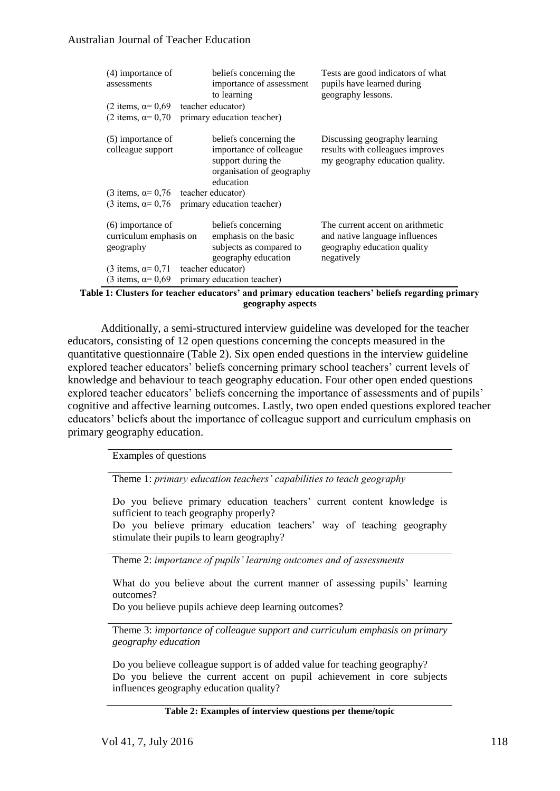| $(4)$ importance of<br>assessments                                                    |  | beliefs concerning the<br>importance of assessment<br>to learning                                                 | Tests are good indicators of what<br>pupils have learned during<br>geography lessons.                           |  |  |  |  |  |
|---------------------------------------------------------------------------------------|--|-------------------------------------------------------------------------------------------------------------------|-----------------------------------------------------------------------------------------------------------------|--|--|--|--|--|
| $(2 \text{ items}, \alpha = 0.69)$                                                    |  | teacher educator)                                                                                                 |                                                                                                                 |  |  |  |  |  |
| $(2 \text{ items}, \alpha = 0.70)$                                                    |  | primary education teacher)                                                                                        |                                                                                                                 |  |  |  |  |  |
| $(5)$ importance of<br>colleague support                                              |  | beliefs concerning the<br>importance of colleague<br>support during the<br>organisation of geography<br>education | Discussing geography learning<br>results with colleagues improves<br>my geography education quality.            |  |  |  |  |  |
| $(3 \text{ items}, \alpha=0.76 \text{ teacher educator})$                             |  |                                                                                                                   |                                                                                                                 |  |  |  |  |  |
|                                                                                       |  | (3 items, $\alpha$ = 0,76 primary education teacher)                                                              |                                                                                                                 |  |  |  |  |  |
| $(6)$ importance of<br>curriculum emphasis on<br>geography                            |  | beliefs concerning<br>emphasis on the basic<br>subjects as compared to<br>geography education                     | The current accent on arithmetic<br>and native language influences<br>geography education quality<br>negatively |  |  |  |  |  |
| $(3 \text{ items}, \alpha=0.71 \text{ teacher educator})$                             |  |                                                                                                                   |                                                                                                                 |  |  |  |  |  |
|                                                                                       |  | $(3 \text{ items}, \alpha = 0.69 \text{ primary education teacher})$                                              |                                                                                                                 |  |  |  |  |  |
| 1. Clustope for tooghou advantage? and primary advantion tooghous? holigh nogouding n |  |                                                                                                                   |                                                                                                                 |  |  |  |  |  |

**Table 1: Clusters for teacher educators' and primary education teachers' beliefs regarding primary geography aspects**

Additionally, a semi-structured interview guideline was developed for the teacher educators, consisting of 12 open questions concerning the concepts measured in the quantitative questionnaire (Table 2). Six open ended questions in the interview guideline explored teacher educators' beliefs concerning primary school teachers' current levels of knowledge and behaviour to teach geography education. Four other open ended questions explored teacher educators' beliefs concerning the importance of assessments and of pupils' cognitive and affective learning outcomes. Lastly, two open ended questions explored teacher educators' beliefs about the importance of colleague support and curriculum emphasis on primary geography education.

Examples of questions

Theme 1: *primary education teachers' capabilities to teach geography*

Do you believe primary education teachers' current content knowledge is sufficient to teach geography properly?

Do you believe primary education teachers' way of teaching geography stimulate their pupils to learn geography?

Theme 2: *importance of pupils' learning outcomes and of assessments* 

What do you believe about the current manner of assessing pupils' learning outcomes?

Do you believe pupils achieve deep learning outcomes?

Theme 3: *importance of colleague support and curriculum emphasis on primary geography education*

Do you believe colleague support is of added value for teaching geography? Do you believe the current accent on pupil achievement in core subjects influences geography education quality?

#### **Table 2: Examples of interview questions per theme/topic**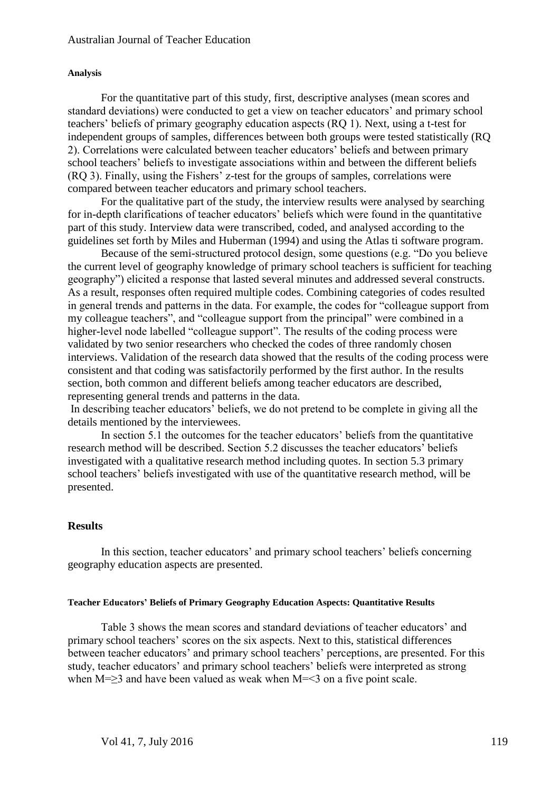#### **Analysis**

For the quantitative part of this study, first, descriptive analyses (mean scores and standard deviations) were conducted to get a view on teacher educators' and primary school teachers' beliefs of primary geography education aspects (RQ 1). Next, using a t-test for independent groups of samples, differences between both groups were tested statistically (RQ 2). Correlations were calculated between teacher educators' beliefs and between primary school teachers' beliefs to investigate associations within and between the different beliefs (RQ 3). Finally, using the Fishers' z-test for the groups of samples, correlations were compared between teacher educators and primary school teachers.

For the qualitative part of the study, the interview results were analysed by searching for in-depth clarifications of teacher educators' beliefs which were found in the quantitative part of this study. Interview data were transcribed, coded, and analysed according to the guidelines set forth by Miles and Huberman (1994) and using the Atlas ti software program.

Because of the semi-structured protocol design, some questions (e.g. "Do you believe the current level of geography knowledge of primary school teachers is sufficient for teaching geography") elicited a response that lasted several minutes and addressed several constructs. As a result, responses often required multiple codes. Combining categories of codes resulted in general trends and patterns in the data. For example, the codes for "colleague support from my colleague teachers", and "colleague support from the principal" were combined in a higher-level node labelled "colleague support". The results of the coding process were validated by two senior researchers who checked the codes of three randomly chosen interviews. Validation of the research data showed that the results of the coding process were consistent and that coding was satisfactorily performed by the first author. In the results section, both common and different beliefs among teacher educators are described, representing general trends and patterns in the data.

In describing teacher educators' beliefs, we do not pretend to be complete in giving all the details mentioned by the interviewees.

In section 5.1 the outcomes for the teacher educators' beliefs from the quantitative research method will be described. Section 5.2 discusses the teacher educators' beliefs investigated with a qualitative research method including quotes. In section 5.3 primary school teachers' beliefs investigated with use of the quantitative research method, will be presented.

#### **Results**

In this section, teacher educators' and primary school teachers' beliefs concerning geography education aspects are presented.

#### **Teacher Educators' Beliefs of Primary Geography Education Aspects: Quantitative Results**

Table 3 shows the mean scores and standard deviations of teacher educators' and primary school teachers' scores on the six aspects. Next to this, statistical differences between teacher educators' and primary school teachers' perceptions, are presented. For this study, teacher educators' and primary school teachers' beliefs were interpreted as strong when  $M=\geq 3$  and have been valued as weak when  $M=\leq 3$  on a five point scale.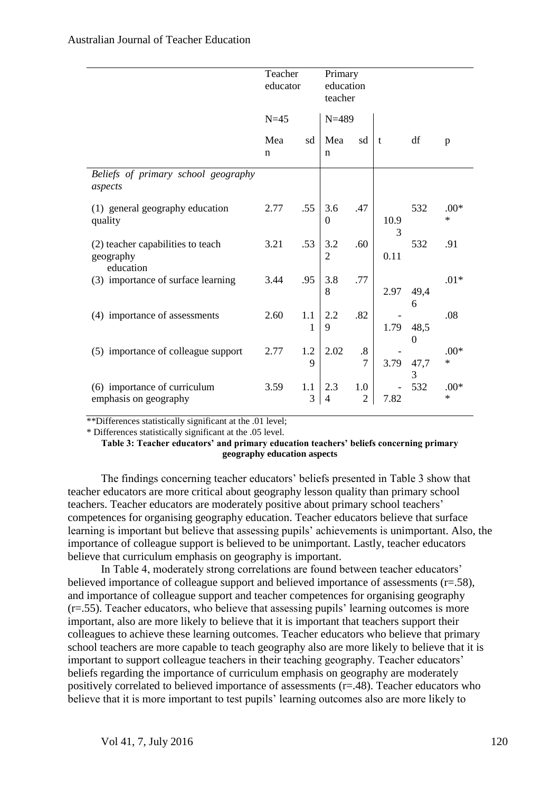|                                                             | Teacher<br>educator |          | Primary<br>education<br>teacher |                                     |              |                          |                  |
|-------------------------------------------------------------|---------------------|----------|---------------------------------|-------------------------------------|--------------|--------------------------|------------------|
|                                                             | $N=45$              |          | $N = 489$                       |                                     |              |                          |                  |
|                                                             | Mea<br>n            | sd       | Mea<br>$\mathbf n$              | sd                                  | $\mathbf{t}$ | df                       | p                |
| Beliefs of primary school geography<br>aspects              |                     |          |                                 |                                     |              |                          |                  |
| (1) general geography education<br>quality                  | 2.77                | .55      | 3.6<br>$\boldsymbol{0}$         | .47                                 | 10.9<br>3    | 532                      | $.00*$<br>$\ast$ |
| (2) teacher capabilities to teach<br>geography<br>education | 3.21                | .53      | 3.2<br>$\overline{2}$           | .60                                 | 0.11         | 532                      | .91              |
| (3) importance of surface learning                          | 3.44                | .95      | 3.8<br>8                        | .77                                 | 2.97         | 49,4<br>6                | $.01*$           |
| (4) importance of assessments                               | 2.60                | 1.1<br>1 | 2.2<br>9                        | .82                                 | 1.79         | 48,5<br>$\boldsymbol{0}$ | .08              |
| (5) importance of colleague support                         | 2.77                | 1.2<br>9 | 2.02                            | $\boldsymbol{.8}$<br>$\overline{7}$ | 3.79         | 47,7<br>3                | $.00*$<br>$\ast$ |
| (6) importance of curriculum<br>emphasis on geography       | 3.59                | 1.1<br>3 | 2.3<br>$\overline{4}$           | 1.0<br>$\overline{2}$               | 7.82         | 532                      | $.00*$<br>$\ast$ |

\*\*Differences statistically significant at the .01 level;

\* Differences statistically significant at the .05 level.

**Table 3: Teacher educators' and primary education teachers' beliefs concerning primary geography education aspects**

The findings concerning teacher educators' beliefs presented in Table 3 show that teacher educators are more critical about geography lesson quality than primary school teachers. Teacher educators are moderately positive about primary school teachers' competences for organising geography education. Teacher educators believe that surface learning is important but believe that assessing pupils' achievements is unimportant. Also, the importance of colleague support is believed to be unimportant. Lastly, teacher educators believe that curriculum emphasis on geography is important.

In Table 4, moderately strong correlations are found between teacher educators' believed importance of colleague support and believed importance of assessments (r=.58), and importance of colleague support and teacher competences for organising geography (r=.55). Teacher educators, who believe that assessing pupils' learning outcomes is more important, also are more likely to believe that it is important that teachers support their colleagues to achieve these learning outcomes. Teacher educators who believe that primary school teachers are more capable to teach geography also are more likely to believe that it is important to support colleague teachers in their teaching geography. Teacher educators' beliefs regarding the importance of curriculum emphasis on geography are moderately positively correlated to believed importance of assessments (r=.48). Teacher educators who believe that it is more important to test pupils' learning outcomes also are more likely to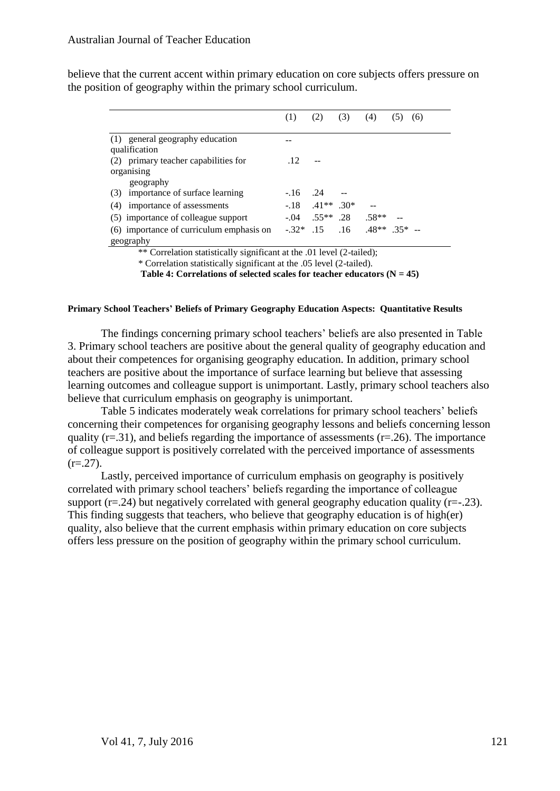|                                          | (1)       | (2)                 | (3) | (4)              | (5, | (6) |
|------------------------------------------|-----------|---------------------|-----|------------------|-----|-----|
| (1) general geography education          |           |                     |     |                  |     |     |
| qualification                            |           |                     |     |                  |     |     |
| (2) primary teacher capabilities for     | .12       |                     |     |                  |     |     |
| organising                               |           |                     |     |                  |     |     |
| geography                                |           |                     |     |                  |     |     |
| importance of surface learning<br>(3)    | $-16$ .24 |                     |     |                  |     |     |
| importance of assessments<br>(4)         |           | $-18$ $-41**$ $30*$ |     |                  |     |     |
| (5) importance of colleague support      | $-.04$    | $.55***$ .28        |     | $.58**$          |     |     |
| (6) importance of curriculum emphasis on |           | $-32*$ 15           | .16 | $.48**$ $.35*$ - |     |     |
| geography                                |           |                     |     |                  |     |     |

believe that the current accent within primary education on core subjects offers pressure on the position of geography within the primary school curriculum.

\*\* Correlation statistically significant at the .01 level (2-tailed);

\* Correlation statistically significant at the .05 level (2-tailed).

Table 4: Correlations of selected scales for teacher educators  $(N = 45)$ 

#### **Primary School Teachers' Beliefs of Primary Geography Education Aspects: Quantitative Results**

The findings concerning primary school teachers' beliefs are also presented in Table 3. Primary school teachers are positive about the general quality of geography education and about their competences for organising geography education. In addition, primary school teachers are positive about the importance of surface learning but believe that assessing learning outcomes and colleague support is unimportant. Lastly, primary school teachers also believe that curriculum emphasis on geography is unimportant.

Table 5 indicates moderately weak correlations for primary school teachers' beliefs concerning their competences for organising geography lessons and beliefs concerning lesson quality ( $r=0.31$ ), and beliefs regarding the importance of assessments ( $r=0.26$ ). The importance of colleague support is positively correlated with the perceived importance of assessments  $(r=.27)$ .

Lastly, perceived importance of curriculum emphasis on geography is positively correlated with primary school teachers' beliefs regarding the importance of colleague support ( $r = .24$ ) but negatively correlated with general geography education quality ( $r = .23$ ). This finding suggests that teachers, who believe that geography education is of high(er) quality, also believe that the current emphasis within primary education on core subjects offers less pressure on the position of geography within the primary school curriculum.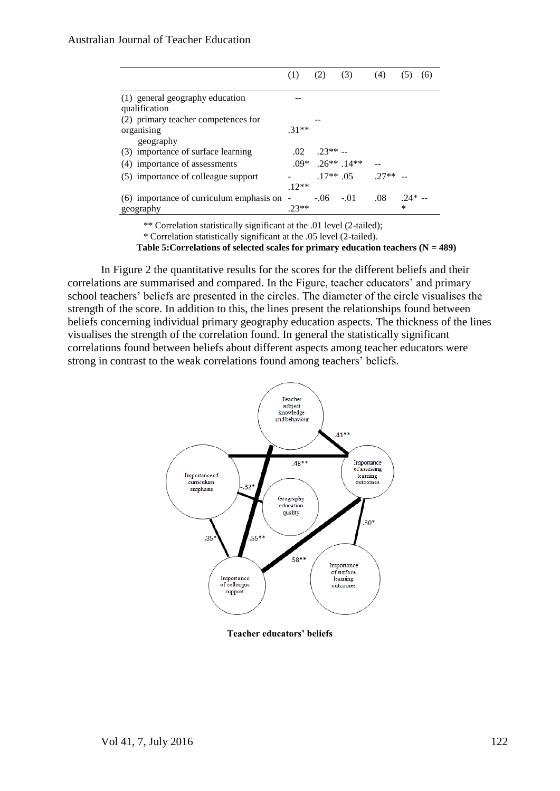|                                                             | (1)              | (2)                                      | (3)         | (4)    |               | (6) |
|-------------------------------------------------------------|------------------|------------------------------------------|-------------|--------|---------------|-----|
| (1) general geography education<br>qualification            |                  |                                          |             |        |               |     |
| (2) primary teacher competences for<br>organising           | $31**$           |                                          |             |        |               |     |
| geography<br>(3) importance of surface learning             | .02 <sub>1</sub> | $23** -$                                 |             |        |               |     |
| (4) importance of assessments                               |                  | $.09*$ 26 <sup>**</sup> 14 <sup>**</sup> |             |        |               |     |
| (5) importance of colleague support                         | $12**$           |                                          | $.17**$ 0.5 | $27**$ |               |     |
| $(6)$ importance of curriculum emphasis on $-$<br>geography | $23**$           | $-0.06 - 0.01$                           |             | .08    | $.24* -$<br>* |     |

\*\* Correlation statistically significant at the .01 level (2-tailed);

\* Correlation statistically significant at the .05 level (2-tailed).

**Table 5:Correlations of selected scales for primary education teachers (N = 489)**

In Figure 2 the quantitative results for the scores for the different beliefs and their correlations are summarised and compared. In the Figure, teacher educators' and primary school teachers' beliefs are presented in the circles. The diameter of the circle visualises the strength of the score. In addition to this, the lines present the relationships found between beliefs concerning individual primary geography education aspects. The thickness of the lines visualises the strength of the correlation found. In general the statistically significant correlations found between beliefs about different aspects among teacher educators were strong in contrast to the weak correlations found among teachers' beliefs.



**Teacher educators' beliefs**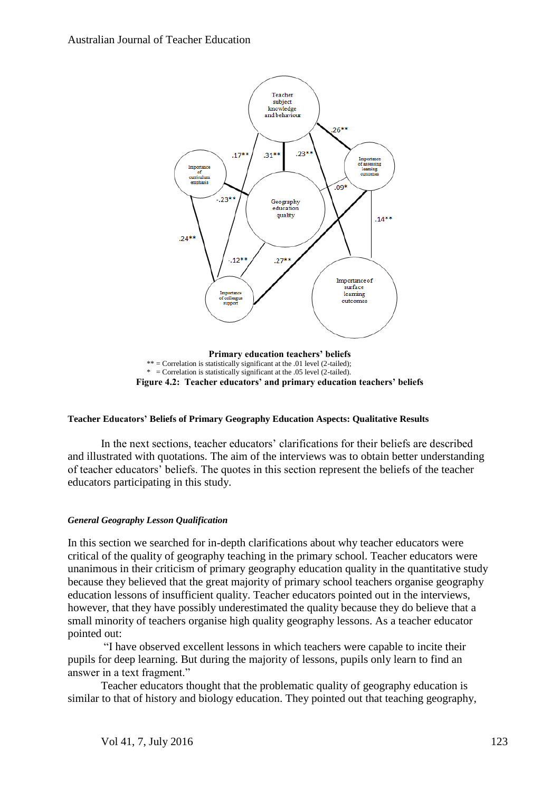

**Figure 4.2: Teacher educators' and primary education teachers' beliefs**

#### **Teacher Educators' Beliefs of Primary Geography Education Aspects: Qualitative Results**

In the next sections, teacher educators' clarifications for their beliefs are described and illustrated with quotations. The aim of the interviews was to obtain better understanding of teacher educators' beliefs. The quotes in this section represent the beliefs of the teacher educators participating in this study.

#### *General Geography Lesson Qualification*

In this section we searched for in-depth clarifications about why teacher educators were critical of the quality of geography teaching in the primary school. Teacher educators were unanimous in their criticism of primary geography education quality in the quantitative study because they believed that the great majority of primary school teachers organise geography education lessons of insufficient quality. Teacher educators pointed out in the interviews, however, that they have possibly underestimated the quality because they do believe that a small minority of teachers organise high quality geography lessons. As a teacher educator pointed out:

"I have observed excellent lessons in which teachers were capable to incite their pupils for deep learning. But during the majority of lessons, pupils only learn to find an answer in a text fragment."

Teacher educators thought that the problematic quality of geography education is similar to that of history and biology education. They pointed out that teaching geography,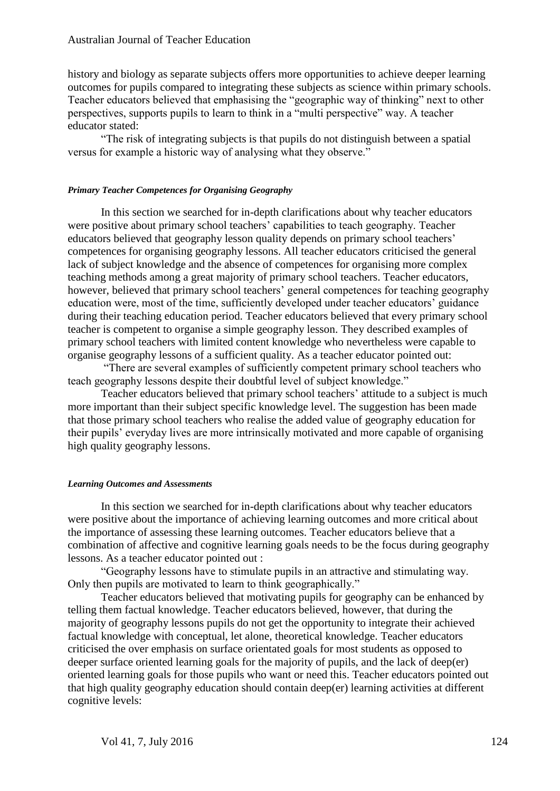history and biology as separate subjects offers more opportunities to achieve deeper learning outcomes for pupils compared to integrating these subjects as science within primary schools. Teacher educators believed that emphasising the "geographic way of thinking" next to other perspectives, supports pupils to learn to think in a "multi perspective" way. A teacher educator stated:

"The risk of integrating subjects is that pupils do not distinguish between a spatial versus for example a historic way of analysing what they observe."

#### *Primary Teacher Competences for Organising Geography*

In this section we searched for in-depth clarifications about why teacher educators were positive about primary school teachers' capabilities to teach geography. Teacher educators believed that geography lesson quality depends on primary school teachers' competences for organising geography lessons. All teacher educators criticised the general lack of subject knowledge and the absence of competences for organising more complex teaching methods among a great majority of primary school teachers. Teacher educators, however, believed that primary school teachers' general competences for teaching geography education were, most of the time, sufficiently developed under teacher educators' guidance during their teaching education period. Teacher educators believed that every primary school teacher is competent to organise a simple geography lesson. They described examples of primary school teachers with limited content knowledge who nevertheless were capable to organise geography lessons of a sufficient quality. As a teacher educator pointed out:

"There are several examples of sufficiently competent primary school teachers who teach geography lessons despite their doubtful level of subject knowledge."

Teacher educators believed that primary school teachers' attitude to a subject is much more important than their subject specific knowledge level. The suggestion has been made that those primary school teachers who realise the added value of geography education for their pupils' everyday lives are more intrinsically motivated and more capable of organising high quality geography lessons.

#### *Learning Outcomes and Assessments*

In this section we searched for in-depth clarifications about why teacher educators were positive about the importance of achieving learning outcomes and more critical about the importance of assessing these learning outcomes. Teacher educators believe that a combination of affective and cognitive learning goals needs to be the focus during geography lessons. As a teacher educator pointed out :

"Geography lessons have to stimulate pupils in an attractive and stimulating way. Only then pupils are motivated to learn to think geographically."

Teacher educators believed that motivating pupils for geography can be enhanced by telling them factual knowledge. Teacher educators believed, however, that during the majority of geography lessons pupils do not get the opportunity to integrate their achieved factual knowledge with conceptual, let alone, theoretical knowledge. Teacher educators criticised the over emphasis on surface orientated goals for most students as opposed to deeper surface oriented learning goals for the majority of pupils, and the lack of deep(er) oriented learning goals for those pupils who want or need this. Teacher educators pointed out that high quality geography education should contain deep(er) learning activities at different cognitive levels: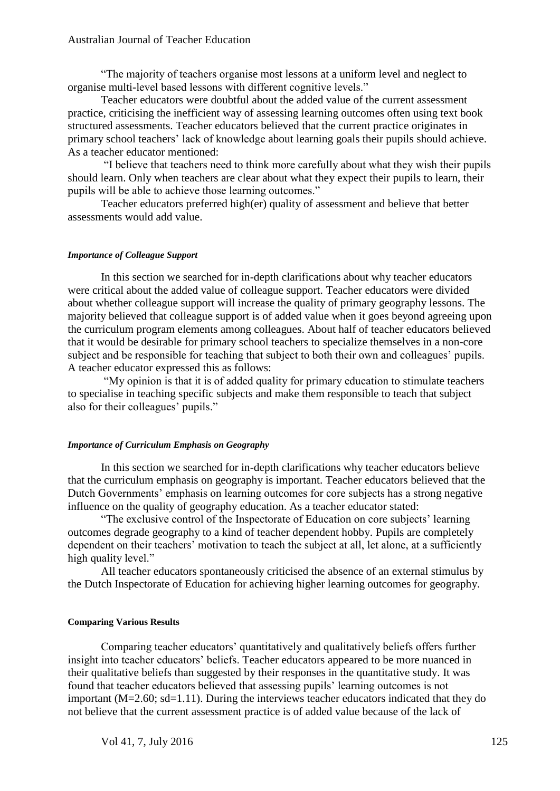"The majority of teachers organise most lessons at a uniform level and neglect to organise multi-level based lessons with different cognitive levels."

Teacher educators were doubtful about the added value of the current assessment practice, criticising the inefficient way of assessing learning outcomes often using text book structured assessments. Teacher educators believed that the current practice originates in primary school teachers' lack of knowledge about learning goals their pupils should achieve. As a teacher educator mentioned:

"I believe that teachers need to think more carefully about what they wish their pupils should learn. Only when teachers are clear about what they expect their pupils to learn, their pupils will be able to achieve those learning outcomes."

Teacher educators preferred high(er) quality of assessment and believe that better assessments would add value.

#### *Importance of Colleague Support*

In this section we searched for in-depth clarifications about why teacher educators were critical about the added value of colleague support. Teacher educators were divided about whether colleague support will increase the quality of primary geography lessons. The majority believed that colleague support is of added value when it goes beyond agreeing upon the curriculum program elements among colleagues. About half of teacher educators believed that it would be desirable for primary school teachers to specialize themselves in a non-core subject and be responsible for teaching that subject to both their own and colleagues' pupils. A teacher educator expressed this as follows:

"My opinion is that it is of added quality for primary education to stimulate teachers to specialise in teaching specific subjects and make them responsible to teach that subject also for their colleagues' pupils."

#### *Importance of Curriculum Emphasis on Geography*

In this section we searched for in-depth clarifications why teacher educators believe that the curriculum emphasis on geography is important. Teacher educators believed that the Dutch Governments' emphasis on learning outcomes for core subjects has a strong negative influence on the quality of geography education. As a teacher educator stated:

"The exclusive control of the Inspectorate of Education on core subjects' learning outcomes degrade geography to a kind of teacher dependent hobby. Pupils are completely dependent on their teachers' motivation to teach the subject at all, let alone, at a sufficiently high quality level."

All teacher educators spontaneously criticised the absence of an external stimulus by the Dutch Inspectorate of Education for achieving higher learning outcomes for geography.

#### **Comparing Various Results**

Comparing teacher educators' quantitatively and qualitatively beliefs offers further insight into teacher educators' beliefs. Teacher educators appeared to be more nuanced in their qualitative beliefs than suggested by their responses in the quantitative study. It was found that teacher educators believed that assessing pupils' learning outcomes is not important (M=2.60; sd=1.11). During the interviews teacher educators indicated that they do not believe that the current assessment practice is of added value because of the lack of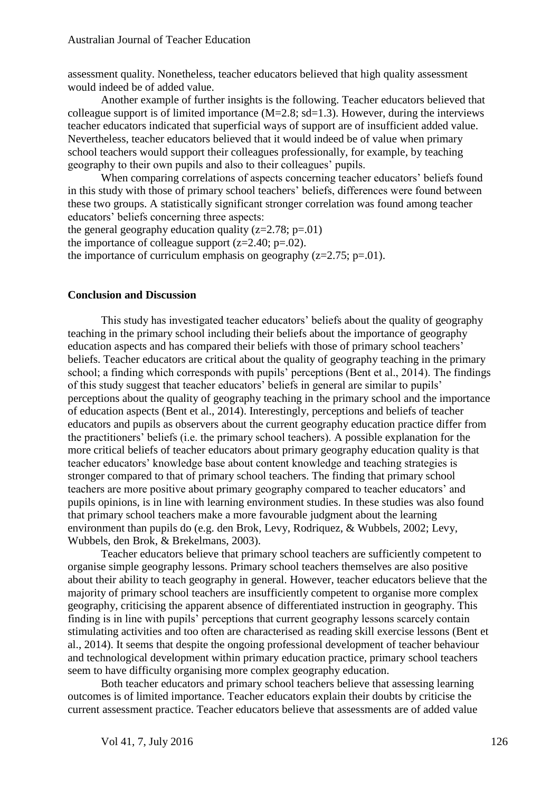assessment quality. Nonetheless, teacher educators believed that high quality assessment would indeed be of added value.

Another example of further insights is the following. Teacher educators believed that colleague support is of limited importance  $(M=2.8; sd=1.3)$ . However, during the interviews teacher educators indicated that superficial ways of support are of insufficient added value. Nevertheless, teacher educators believed that it would indeed be of value when primary school teachers would support their colleagues professionally, for example, by teaching geography to their own pupils and also to their colleagues' pupils.

When comparing correlations of aspects concerning teacher educators' beliefs found in this study with those of primary school teachers' beliefs, differences were found between these two groups. A statistically significant stronger correlation was found among teacher educators' beliefs concerning three aspects:

the general geography education quality  $(z=2.78; p=.01)$ the importance of colleague support  $(z=2.40; p=.02)$ . the importance of curriculum emphasis on geography  $(z=2.75; p=.01)$ .

#### **Conclusion and Discussion**

This study has investigated teacher educators' beliefs about the quality of geography teaching in the primary school including their beliefs about the importance of geography education aspects and has compared their beliefs with those of primary school teachers' beliefs. Teacher educators are critical about the quality of geography teaching in the primary school; a finding which corresponds with pupils' perceptions (Bent et al., 2014). The findings of this study suggest that teacher educators' beliefs in general are similar to pupils' perceptions about the quality of geography teaching in the primary school and the importance of education aspects (Bent et al., 2014). Interestingly, perceptions and beliefs of teacher educators and pupils as observers about the current geography education practice differ from the practitioners' beliefs (i.e. the primary school teachers). A possible explanation for the more critical beliefs of teacher educators about primary geography education quality is that teacher educators' knowledge base about content knowledge and teaching strategies is stronger compared to that of primary school teachers. The finding that primary school teachers are more positive about primary geography compared to teacher educators' and pupils opinions, is in line with learning environment studies. In these studies was also found that primary school teachers make a more favourable judgment about the learning environment than pupils do (e.g. den Brok, Levy, Rodriquez, & Wubbels, 2002; Levy, Wubbels, den Brok, & Brekelmans, 2003).

Teacher educators believe that primary school teachers are sufficiently competent to organise simple geography lessons. Primary school teachers themselves are also positive about their ability to teach geography in general. However, teacher educators believe that the majority of primary school teachers are insufficiently competent to organise more complex geography, criticising the apparent absence of differentiated instruction in geography. This finding is in line with pupils' perceptions that current geography lessons scarcely contain stimulating activities and too often are characterised as reading skill exercise lessons (Bent et al., 2014). It seems that despite the ongoing professional development of teacher behaviour and technological development within primary education practice, primary school teachers seem to have difficulty organising more complex geography education.

Both teacher educators and primary school teachers believe that assessing learning outcomes is of limited importance. Teacher educators explain their doubts by criticise the current assessment practice. Teacher educators believe that assessments are of added value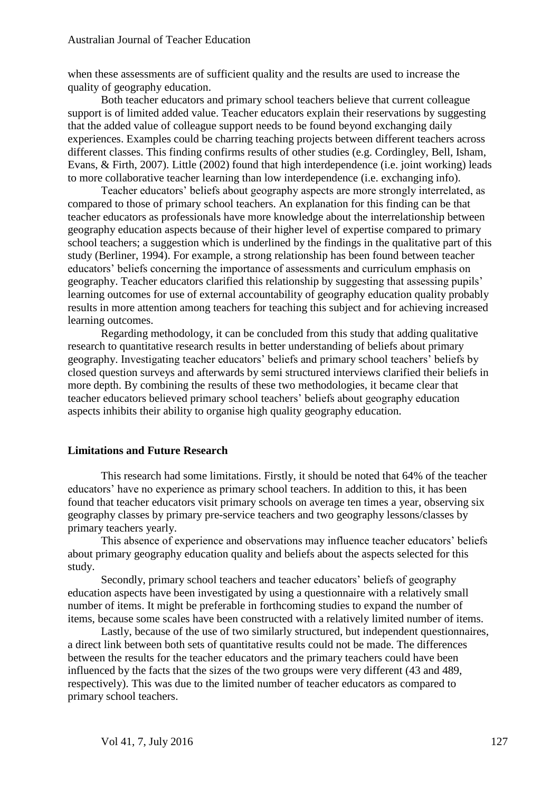when these assessments are of sufficient quality and the results are used to increase the quality of geography education.

Both teacher educators and primary school teachers believe that current colleague support is of limited added value. Teacher educators explain their reservations by suggesting that the added value of colleague support needs to be found beyond exchanging daily experiences. Examples could be charring teaching projects between different teachers across different classes. This finding confirms results of other studies (e.g. Cordingley, Bell, Isham, Evans, & Firth, 2007). Little (2002) found that high interdependence (i.e. joint working) leads to more collaborative teacher learning than low interdependence (i.e. exchanging info).

Teacher educators' beliefs about geography aspects are more strongly interrelated, as compared to those of primary school teachers. An explanation for this finding can be that teacher educators as professionals have more knowledge about the interrelationship between geography education aspects because of their higher level of expertise compared to primary school teachers; a suggestion which is underlined by the findings in the qualitative part of this study (Berliner, 1994). For example, a strong relationship has been found between teacher educators' beliefs concerning the importance of assessments and curriculum emphasis on geography. Teacher educators clarified this relationship by suggesting that assessing pupils' learning outcomes for use of external accountability of geography education quality probably results in more attention among teachers for teaching this subject and for achieving increased learning outcomes.

Regarding methodology, it can be concluded from this study that adding qualitative research to quantitative research results in better understanding of beliefs about primary geography. Investigating teacher educators' beliefs and primary school teachers' beliefs by closed question surveys and afterwards by semi structured interviews clarified their beliefs in more depth. By combining the results of these two methodologies, it became clear that teacher educators believed primary school teachers' beliefs about geography education aspects inhibits their ability to organise high quality geography education.

## **Limitations and Future Research**

This research had some limitations. Firstly, it should be noted that 64% of the teacher educators' have no experience as primary school teachers. In addition to this, it has been found that teacher educators visit primary schools on average ten times a year, observing six geography classes by primary pre-service teachers and two geography lessons/classes by primary teachers yearly.

This absence of experience and observations may influence teacher educators' beliefs about primary geography education quality and beliefs about the aspects selected for this study.

Secondly, primary school teachers and teacher educators' beliefs of geography education aspects have been investigated by using a questionnaire with a relatively small number of items. It might be preferable in forthcoming studies to expand the number of items, because some scales have been constructed with a relatively limited number of items.

Lastly, because of the use of two similarly structured, but independent questionnaires, a direct link between both sets of quantitative results could not be made. The differences between the results for the teacher educators and the primary teachers could have been influenced by the facts that the sizes of the two groups were very different (43 and 489, respectively). This was due to the limited number of teacher educators as compared to primary school teachers.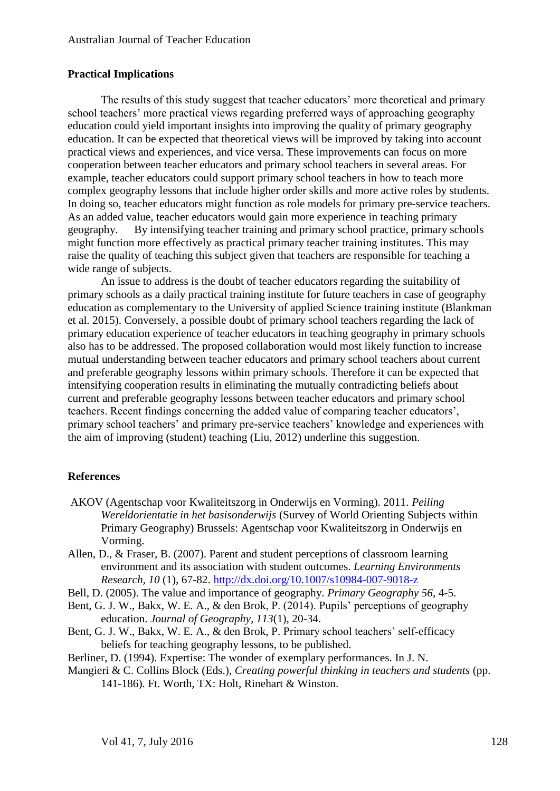# **Practical Implications**

The results of this study suggest that teacher educators' more theoretical and primary school teachers' more practical views regarding preferred ways of approaching geography education could yield important insights into improving the quality of primary geography education. It can be expected that theoretical views will be improved by taking into account practical views and experiences, and vice versa. These improvements can focus on more cooperation between teacher educators and primary school teachers in several areas. For example, teacher educators could support primary school teachers in how to teach more complex geography lessons that include higher order skills and more active roles by students. In doing so, teacher educators might function as role models for primary pre-service teachers. As an added value, teacher educators would gain more experience in teaching primary geography. By intensifying teacher training and primary school practice, primary schools might function more effectively as practical primary teacher training institutes. This may raise the quality of teaching this subject given that teachers are responsible for teaching a wide range of subjects.

An issue to address is the doubt of teacher educators regarding the suitability of primary schools as a daily practical training institute for future teachers in case of geography education as complementary to the University of applied Science training institute (Blankman et al. 2015). Conversely, a possible doubt of primary school teachers regarding the lack of primary education experience of teacher educators in teaching geography in primary schools also has to be addressed. The proposed collaboration would most likely function to increase mutual understanding between teacher educators and primary school teachers about current and preferable geography lessons within primary schools. Therefore it can be expected that intensifying cooperation results in eliminating the mutually contradicting beliefs about current and preferable geography lessons between teacher educators and primary school teachers. Recent findings concerning the added value of comparing teacher educators', primary school teachers' and primary pre-service teachers' knowledge and experiences with the aim of improving (student) teaching (Liu, 2012) underline this suggestion.

# **References**

- AKOV (Agentschap voor Kwaliteitszorg in Onderwijs en Vorming). 2011. *Peiling Wereldorientatie in het basisonderwijs* (Survey of World Orienting Subjects within Primary Geography) Brussels: Agentschap voor Kwaliteitszorg in Onderwijs en Vorming.
- Allen, D., & Fraser, B. (2007). Parent and student perceptions of classroom learning environment and its association with student outcomes. *Learning Environments Research, 10* (1), 67-82. <http://dx.doi.org/10.1007/s10984-007-9018-z>
- Bell, D. (2005). The value and importance of geography. *Primary Geography 56*, 4-5.
- Bent, G. J. W., Bakx, W. E. A., & den Brok, P. (2014). Pupils' perceptions of geography education. *Journal of Geography, 113*(1), 20-34.
- Bent, G. J. W., Bakx, W. E. A., & den Brok, P. Primary school teachers' self-efficacy beliefs for teaching geography lessons, to be published.
- Berliner, D. (1994). Expertise: The wonder of exemplary performances. In J. N.
- Mangieri & C. Collins Block (Eds.), *Creating powerful thinking in teachers and students* (pp. 141-186)*.* Ft. Worth, TX: Holt, Rinehart & Winston.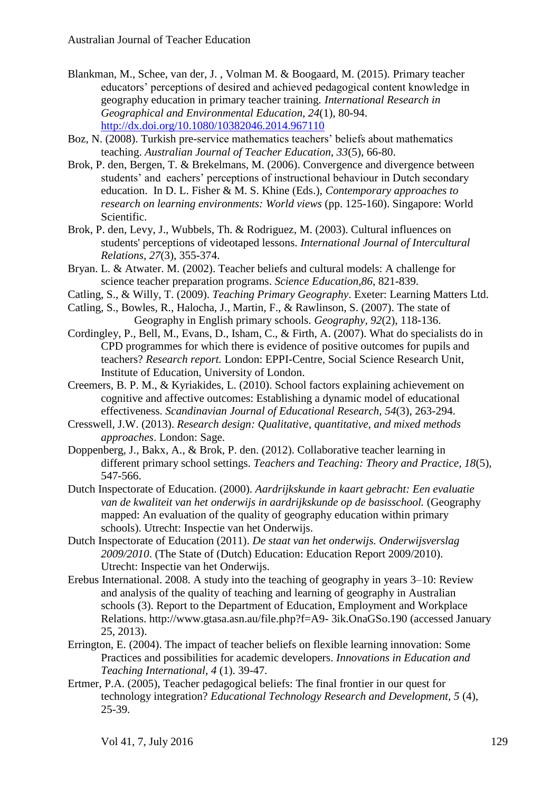- Blankman, M., Schee, van der, J. , Volman M. & Boogaard, M. (2015). Primary teacher educators' perceptions of desired and achieved pedagogical content knowledge in geography education in primary teacher training*. International Research in Geographical and Environmental Education, 24*(1), 80-94. <http://dx.doi.org/10.1080/10382046.2014.967110>
- Boz, N. (2008). Turkish pre-service mathematics teachers' beliefs about mathematics teaching. *Australian Journal of Teacher Education, 33*(5), 66-80.
- Brok, P. den, Bergen, T. & Brekelmans, M. (2006). Convergence and divergence between students' and eachers' perceptions of instructional behaviour in Dutch secondary education. In D. L. Fisher & M. S. Khine (Eds.), *Contemporary approaches to research on learning environments: World views* (pp. 125-160). Singapore: World Scientific.
- Brok, P. den, Levy, J., Wubbels, Th. & Rodriguez, M. (2003). Cultural influences on students' perceptions of videotaped lessons. *International Journal of Intercultural Relations, 27*(3), 355-374.
- Bryan. L. & Atwater. M. (2002). Teacher beliefs and cultural models: A challenge for science teacher preparation programs. *Science Education,86*, 821-839.
- Catling, S., & Willy, T. (2009). *Teaching Primary Geography*. Exeter: Learning Matters Ltd.
- Catling, S., Bowles, R., Halocha, J., Martin, F., & Rawlinson, S. (2007). The state of Geography in English primary schools. *Geography, 92*(2), 118-136.
- Cordingley, P., Bell, M., Evans, D., Isham, C., & Firth, A. (2007). What do specialists do in CPD programmes for which there is evidence of positive outcomes for pupils and teachers? *Research report.* London: EPPI-Centre, Social Science Research Unit, Institute of Education, University of London.
- Creemers, B. P. M., & Kyriakides, L. (2010). School factors explaining achievement on cognitive and affective outcomes: Establishing a dynamic model of educational effectiveness. *Scandinavian Journal of Educational Research, 54*(3), 263-294.
- Cresswell, J.W. (2013). *Research design: Qualitative, quantitative, and mixed methods approaches*. London: Sage.
- Doppenberg, J., Bakx, A., & Brok, P. den. (2012). Collaborative teacher learning in different primary school settings. *Teachers and Teaching: Theory and Practice, 18*(5), 547-566.
- Dutch Inspectorate of Education. (2000). *Aardrijkskunde in kaart gebracht: Een evaluatie van de kwaliteit van het onderwijs in aardrijkskunde op de basisschool.* (Geography mapped: An evaluation of the quality of geography education within primary schools). Utrecht: Inspectie van het Onderwijs.
- Dutch Inspectorate of Education (2011). *De staat van het onderwijs. Onderwijsverslag 2009/2010*. (The State of (Dutch) Education: Education Report 2009/2010). Utrecht: Inspectie van het Onderwijs.
- Erebus International. 2008. A study into the teaching of geography in years 3–10: Review and analysis of the quality of teaching and learning of geography in Australian schools (3). Report to the Department of Education, Employment and Workplace Relations. http://www.gtasa.asn.au/file.php?f=A9- 3ik.OnaGSo.190 (accessed January 25, 2013).
- Errington, E. (2004). The impact of teacher beliefs on flexible learning innovation: Some Practices and possibilities for academic developers. *Innovations in Education and Teaching International, 4* (1). 39-47.
- Ertmer, P.A. (2005), Teacher pedagogical beliefs: The final frontier in our quest for technology integration? *Educational Technology Research and Development, 5* (4), 25-39.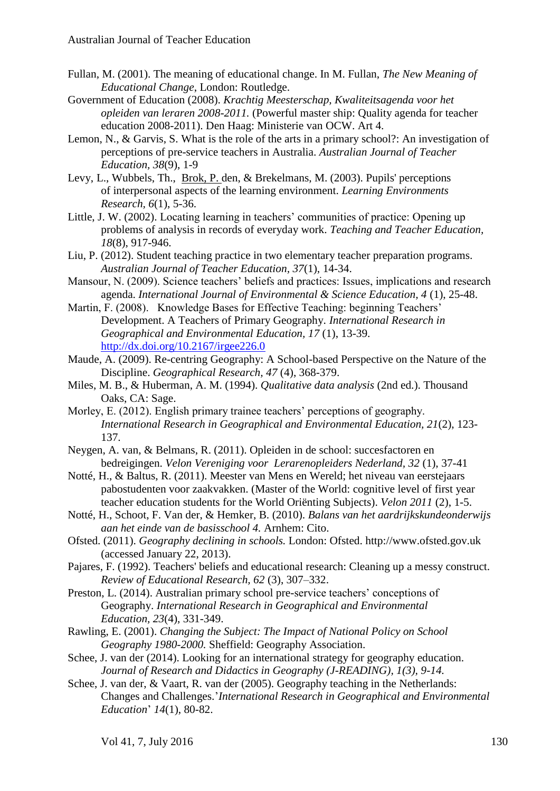- Fullan, M. (2001). The meaning of educational change. In M. Fullan, *The New Meaning of Educational Change*, London: Routledge.
- Government of Education (2008). *Krachtig Meesterschap, Kwaliteitsagenda voor het opleiden van leraren 2008-2011.* (Powerful master ship: Quality agenda for teacher education 2008-2011). Den Haag: Ministerie van OCW. Art 4.
- Lemon, N., & Garvis, S. What is the role of the arts in a primary school?: An investigation of perceptions of pre-service teachers in Australia. *Australian Journal of Teacher Education, 38*(9), 1-9
- Levy, L., Wubbels, Th., [Brok, P. d](http://www.tue.nl/en/university/about-the-university/eindhoven-school-of-education/about-esoe/staff/detail/ep/e/d/ep-uid/20070578/)en, & Brekelmans, M. (2003). Pupils' perceptions of interpersonal aspects of the learning environment. *Learning Environments Research, 6*(1), 5-36.
- Little, J. W. (2002). Locating learning in teachers' communities of practice: Opening up problems of analysis in records of everyday work. *Teaching and Teacher Education, 18*(8), 917-946.
- Liu, P. (2012). Student teaching practice in two elementary teacher preparation programs. *Australian Journal of Teacher Education, 37*(1), 14-34.
- Mansour, N. (2009). Science teachers' beliefs and practices: Issues, implications and research agenda. *International Journal of Environmental & Science Education, 4* (1), 25-48.
- Martin, F. (2008). Knowledge Bases for Effective Teaching: beginning Teachers' Development. A Teachers of Primary Geography. *International Research in Geographical and Environmental Education, 17* (1), 13-39. <http://dx.doi.org/10.2167/irgee226.0>
- Maude, A. (2009). Re-centring Geography: A School-based Perspective on the Nature of the Discipline. *Geographical Research, 47* (4), 368-379.
- Miles, M. B., & Huberman, A. M. (1994). *Qualitative data analysis* (2nd ed.). Thousand Oaks, CA: Sage.
- Morley, E. (2012). English primary trainee teachers' perceptions of geography. *International Research in Geographical and Environmental Education, 21*(2), 123- 137.
- Neygen, A. van, & Belmans, R. (2011). Opleiden in de school: succesfactoren en bedreigingen. *Velon Vereniging voor Lerarenopleiders Nederland, 32* (1), 37-41
- Notté, H., & Baltus, R. (2011). Meester van Mens en Wereld; het niveau van eerstejaars pabostudenten voor zaakvakken. (Master of the World: cognitive level of first year teacher education students for the World Oriënting Subjects). *Velon 2011* (2), 1-5.
- Notté, H., Schoot, F. Van der, & Hemker, B. (2010). *Balans van het aardrijkskundeonderwijs aan het einde van de basisschool 4.* Arnhem: Cito.
- Ofsted. (2011). *Geography declining in schools.* London: Ofsted. http://www.ofsted.gov.uk (accessed January 22, 2013).
- Pajares, F. (1992). Teachers' beliefs and educational research: Cleaning up a messy construct. *Review of Educational Research, 62* (3), 307–332.
- Preston, L. (2014). Australian primary school pre-service teachers' conceptions of Geography. *International Research in Geographical and Environmental Education, 23*(4), 331-349.
- Rawling, E. (2001). *Changing the Subject: The Impact of National Policy on School Geography 1980-2000.* Sheffield: Geography Association.
- Schee, J. van der (2014). Looking for an international strategy for geography education. *Journal of Research and Didactics in Geography (J-READING), 1(3), 9-14.*
- Schee, J. van der, & Vaart, R. van der (2005). Geography teaching in the Netherlands: Changes and Challenges.'*International Research in Geographical and Environmental Education*' *14*(1), 80-82.

Vol 41, 7, July 2016 130